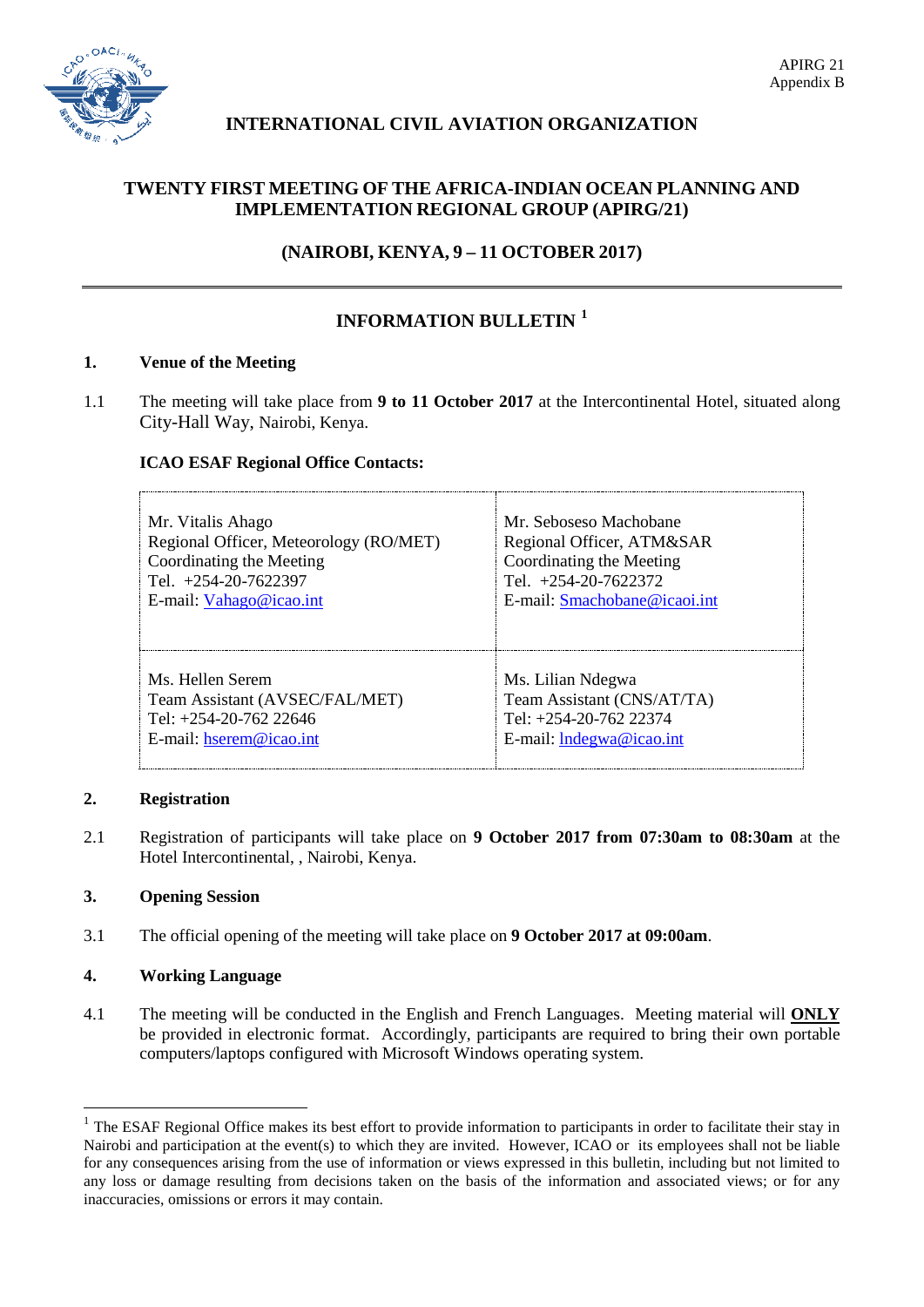

# **INTERNATIONAL CIVIL AVIATION ORGANIZATION**

# **TWENTY FIRST MEETING OF THE AFRICA-INDIAN OCEAN PLANNING AND IMPLEMENTATION REGIONAL GROUP (APIRG/21)**

**(NAIROBI, KENYA, 9 – 11 OCTOBER 2017)**

# **INFORMATION BULLETIN [1](#page-0-0)**

## **1. Venue of the Meeting**

1.1 The meeting will take place from **9 to 11 October 2017** at the Intercontinental Hotel, situated along City-Hall Way, Nairobi, Kenya.

## **ICAO ESAF Regional Office Contacts:**

| Mr. Vitalis Ahago                      | Mr. Seboseso Machobane       |
|----------------------------------------|------------------------------|
| Regional Officer, Meteorology (RO/MET) | Regional Officer, ATM&SAR    |
| Coordinating the Meeting               | Coordinating the Meeting     |
| Tel. $+254-20-7622397$                 | Tel. $+254-20-7622372$       |
| E-mail: Vahago@icao.int                | E-mail: Smachobane@icaoi.int |
| Ms. Hellen Serem                       | Ms. Lilian Ndegwa            |
| Team Assistant (AVSEC/FAL/MET)         | Team Assistant (CNS/AT/TA)   |
| Tel: $+254-20-762$ 22646               | Tel: $+254-20-762$ 22374     |
| E-mail: hserem@icao.int                | E-mail: $Indezwa@icao.int$   |

#### **2. Registration**

2.1 Registration of participants will take place on **9 October 2017 from 07:30am to 08:30am** at the Hotel Intercontinental, , Nairobi, Kenya.

## **3. Opening Session**

3.1 The official opening of the meeting will take place on **9 October 2017 at 09:00am**.

## **4. Working Language**

4.1 The meeting will be conducted in the English and French Languages. Meeting material will **ONLY** be provided in electronic format. Accordingly, participants are required to bring their own portable computers/laptops configured with Microsoft Windows operating system.

<span id="page-0-0"></span><sup>&</sup>lt;sup>1</sup> The ESAF Regional Office makes its best effort to provide information to participants in order to facilitate their stay in Nairobi and participation at the event(s) to which they are invited. However, ICAO or its employees shall not be liable for any consequences arising from the use of information or views expressed in this bulletin, including but not limited to any loss or damage resulting from decisions taken on the basis of the information and associated views; or for any inaccuracies, omissions or errors it may contain.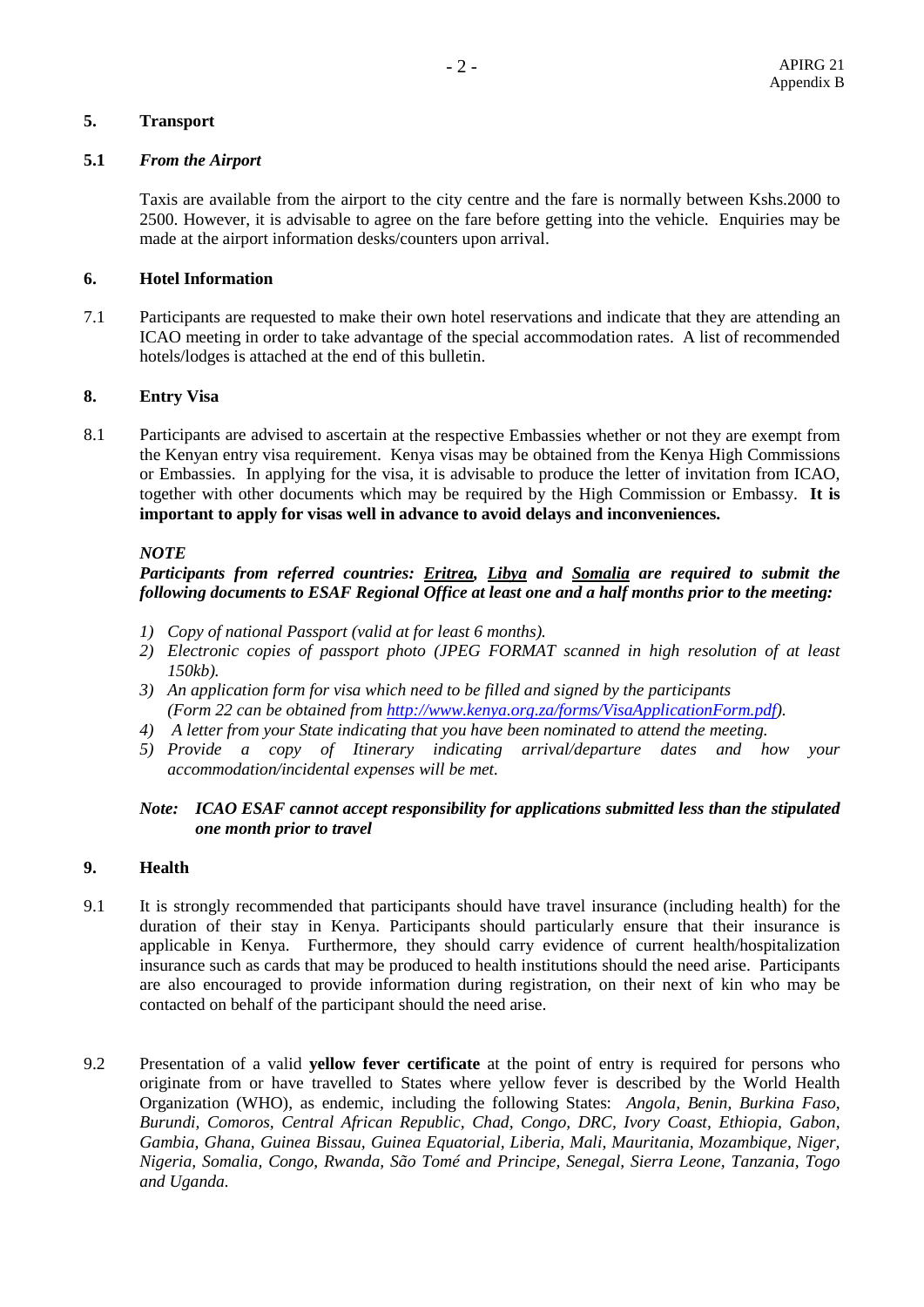## **5. Transport**

#### **5.1** *From the Airport*

Taxis are available from the airport to the city centre and the fare is normally between Kshs.2000 to 2500. However, it is advisable to agree on the fare before getting into the vehicle. Enquiries may be made at the airport information desks/counters upon arrival.

#### **6. Hotel Information**

7.1 Participants are requested to make their own hotel reservations and indicate that they are attending an ICAO meeting in order to take advantage of the special accommodation rates. A list of recommended hotels/lodges is attached at the end of this bulletin.

#### **8. Entry Visa**

8.1 Participants are advised to ascertain at the respective Embassies whether or not they are exempt from the Kenyan entry visa requirement. Kenya visas may be obtained from the Kenya High Commissions or Embassies. In applying for the visa, it is advisable to produce the letter of invitation from ICAO, together with other documents which may be required by the High Commission or Embassy. **It is important to apply for visas well in advance to avoid delays and inconveniences.**

#### *NOTE*

## *Participants from referred countries: Eritrea, Libya and Somalia are required to submit the following documents to ESAF Regional Office at least one and a half months prior to the meeting:*

- *1) Copy of national Passport (valid at for least 6 months).*
- *2) Electronic copies of passport photo (JPEG FORMAT scanned in high resolution of at least 150kb).*
- *3) An application form for visa which need to be filled and signed by the participants (Form 22 can be obtained from [http://www.kenya.org.za/forms/VisaApplicationForm.pdf\)](http://www.kenya.org.za/forms/VisaApplicationForm.pdf).*
- *4) A letter from your State indicating that you have been nominated to attend the meeting.*
- *5) Provide a copy of Itinerary indicating arrival/departure dates and how your accommodation/incidental expenses will be met.*

#### *Note: ICAO ESAF cannot accept responsibility for applications submitted less than the stipulated one month prior to travel*

#### **9. Health**

- 9.1 It is strongly recommended that participants should have travel insurance (including health) for the duration of their stay in Kenya. Participants should particularly ensure that their insurance is applicable in Kenya. Furthermore, they should carry evidence of current health/hospitalization insurance such as cards that may be produced to health institutions should the need arise. Participants are also encouraged to provide information during registration, on their next of kin who may be contacted on behalf of the participant should the need arise.
- 9.2 Presentation of a valid **yellow fever certificate** at the point of entry is required for persons who originate from or have travelled to States where yellow fever is described by the World Health Organization (WHO), as endemic, including the following States: *Angola, Benin, Burkina Faso, Burundi, Comoros, Central African Republic, Chad, Congo, DRC, Ivory Coast, Ethiopia, Gabon, Gambia, Ghana, Guinea Bissau, Guinea Equatorial, Liberia, Mali, Mauritania, Mozambique, Niger, Nigeria, Somalia, Congo, Rwanda, São Tomé and Principe, Senegal, Sierra Leone, Tanzania, Togo and Uganda.*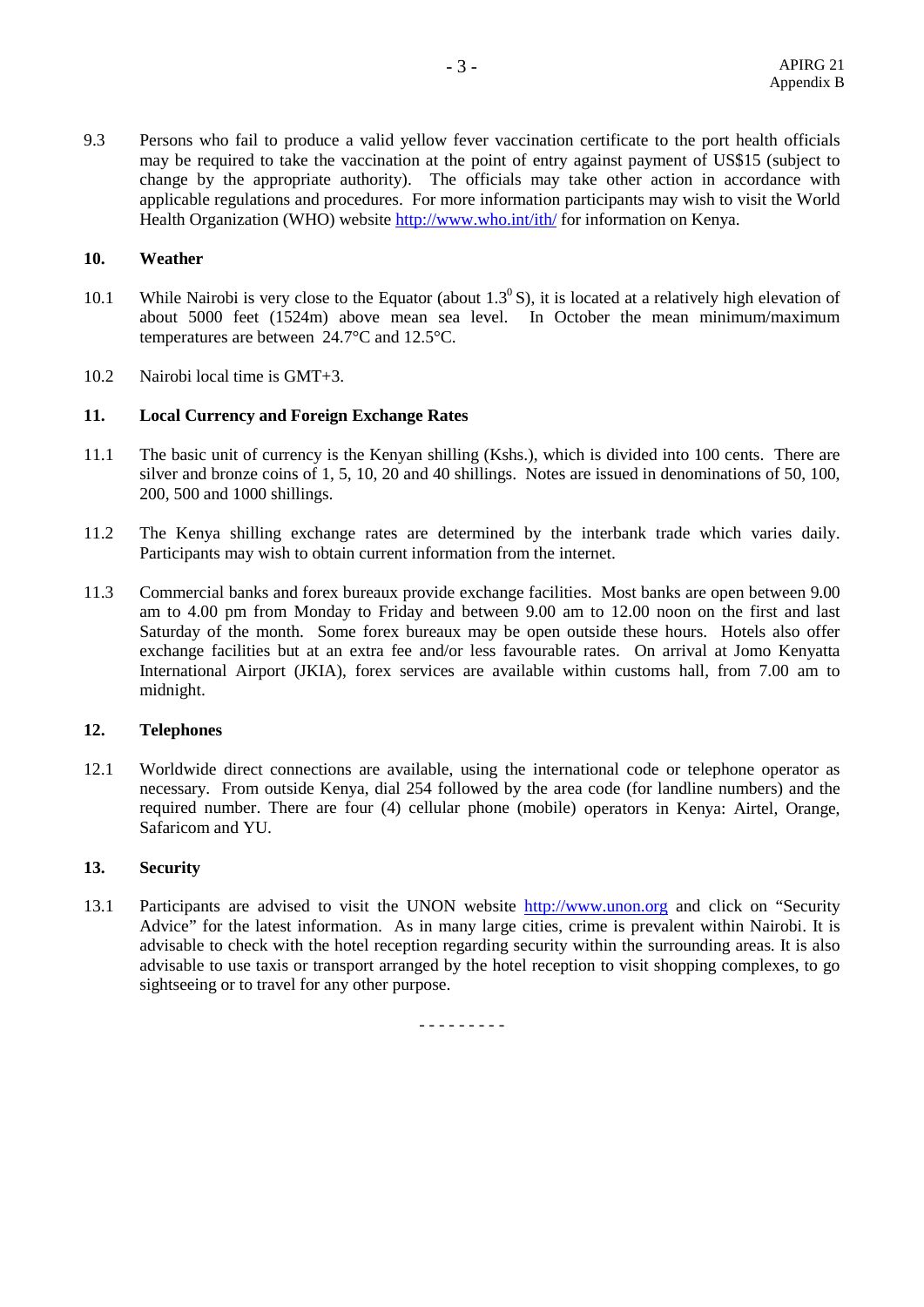9.3 Persons who fail to produce a valid yellow fever vaccination certificate to the port health officials may be required to take the vaccination at the point of entry against payment of US\$15 (subject to change by the appropriate authority). The officials may take other action in accordance with applicable regulations and procedures. For more information participants may wish to visit the World Health Organization (WHO) website <http://www.who.int/ith/> for information on Kenya.

#### **10. Weather**

- 10.1 While Nairobi is very close to the Equator (about  $1.3<sup>0</sup>$  S), it is located at a relatively high elevation of about 5000 feet (1524m) above mean sea level. In October the mean minimum/maximum temperatures are between 24.7°C and 12.5°C.
- 10.2 Nairobi local time is GMT+3.

## **11. Local Currency and Foreign Exchange Rates**

- 11.1 The basic unit of currency is the Kenyan shilling (Kshs.), which is divided into 100 cents. There are silver and bronze coins of 1, 5, 10, 20 and 40 shillings. Notes are issued in denominations of 50, 100, 200, 500 and 1000 shillings.
- 11.2 The Kenya shilling exchange rates are determined by the interbank trade which varies daily. Participants may wish to obtain current information from the internet.
- 11.3 Commercial banks and forex bureaux provide exchange facilities. Most banks are open between 9.00 am to 4.00 pm from Monday to Friday and between 9.00 am to 12.00 noon on the first and last Saturday of the month. Some forex bureaux may be open outside these hours. Hotels also offer exchange facilities but at an extra fee and/or less favourable rates. On arrival at Jomo Kenyatta International Airport (JKIA), forex services are available within customs hall, from 7.00 am to midnight.

#### **12. Telephones**

12.1 Worldwide direct connections are available, using the international code or telephone operator as necessary. From outside Kenya, dial 254 followed by the area code (for landline numbers) and the required number. There are four (4) cellular phone (mobile) operators in Kenya: Airtel, Orange, Safaricom and YU.

#### **13. Security**

13.1 Participants are advised to visit the UNON website [http://www.unon.org](http://www.unon.org/) and click on "Security" Advice" for the latest information. As in many large cities, crime is prevalent within Nairobi. It is advisable to check with the hotel reception regarding security within the surrounding areas. It is also advisable to use taxis or transport arranged by the hotel reception to visit shopping complexes, to go sightseeing or to travel for any other purpose.

- - - - - - - - -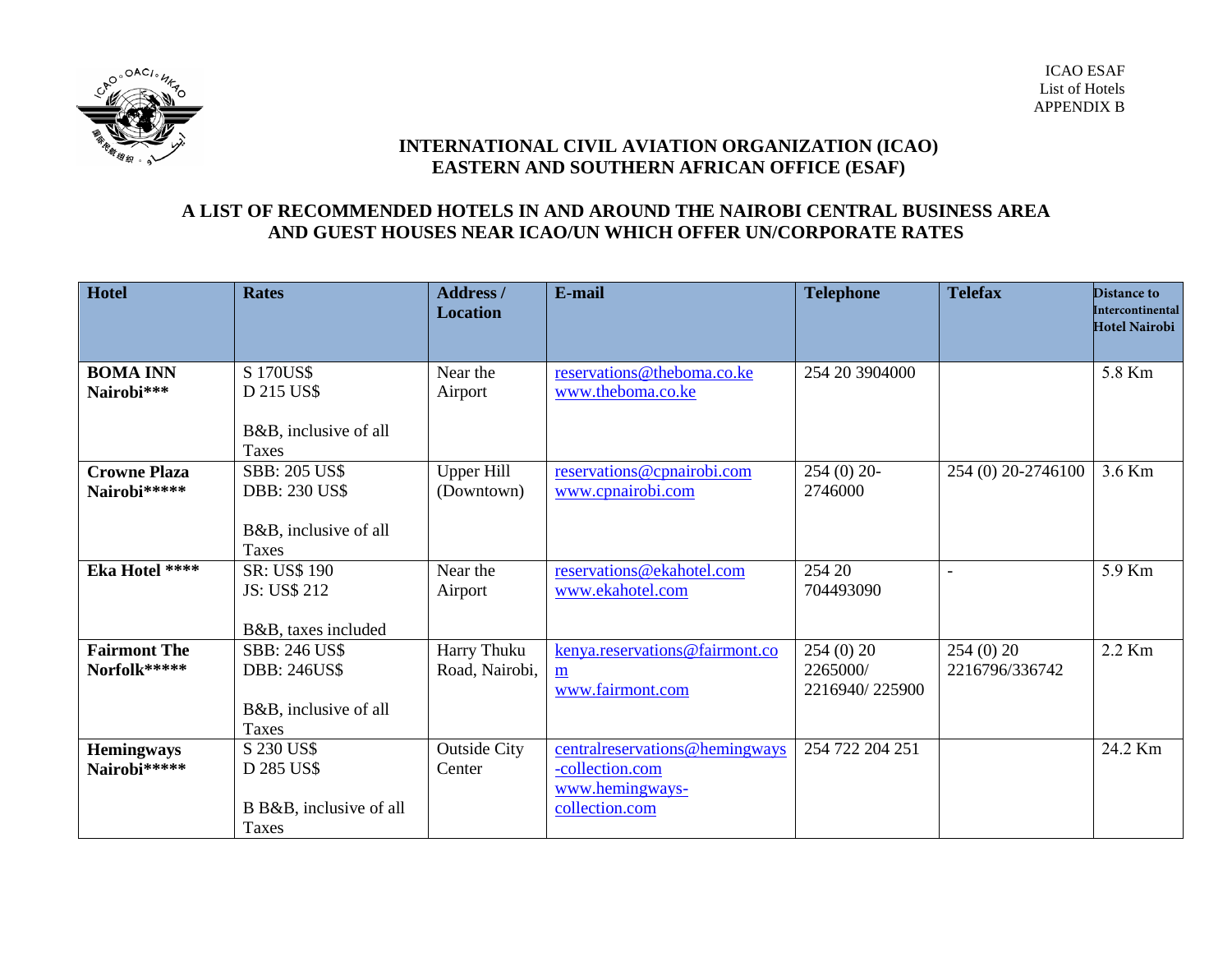

# **INTERNATIONAL CIVIL AVIATION ORGANIZATION (ICAO) EASTERN AND SOUTHERN AFRICAN OFFICE (ESAF)**

# **A LIST OF RECOMMENDED HOTELS IN AND AROUND THE NAIROBI CENTRAL BUSINESS AREA AND GUEST HOUSES NEAR ICAO/UN WHICH OFFER UN/CORPORATE RATES**

| Hotel                               | <b>Rates</b>                                                                          | <b>Address</b> /<br><b>Location</b> | E-mail                                                                                  | <b>Telephone</b>                       | <b>Telefax</b>             | Distance to<br>Intercontinental |
|-------------------------------------|---------------------------------------------------------------------------------------|-------------------------------------|-----------------------------------------------------------------------------------------|----------------------------------------|----------------------------|---------------------------------|
|                                     |                                                                                       |                                     |                                                                                         |                                        |                            | <b>Hotel Nairobi</b>            |
| <b>BOMA INN</b><br>Nairobi***       | S 170US\$<br>D 215 US\$<br>B&B, inclusive of all<br>Taxes                             | Near the<br>Airport                 | reservations@theboma.co.ke<br>www.theboma.co.ke                                         | 254 20 3904000                         |                            | 5.8 Km                          |
| <b>Crowne Plaza</b><br>Nairobi***** | <b>SBB: 205 US\$</b><br><b>DBB: 230 US\$</b><br>B&B, inclusive of all<br><b>Taxes</b> | <b>Upper Hill</b><br>(Downtown)     | reservations@cpnairobi.com<br>www.cpnairobi.com                                         | $254(0)$ 20-<br>2746000                | 254 (0) 20-2746100         | 3.6 Km                          |
| Eka Hotel ****                      | SR: US\$ 190<br>JS: US\$ 212<br>B&B, taxes included                                   | Near the<br>Airport                 | reservations@ekahotel.com<br>www.ekahotel.com                                           | 254 20<br>704493090                    |                            | 5.9 Km                          |
| <b>Fairmont The</b><br>Norfolk***** | <b>SBB: 246 US\$</b><br><b>DBB: 246US\$</b><br>B&B, inclusive of all<br>Taxes         | Harry Thuku<br>Road, Nairobi,       | kenya.reservations@fairmont.co<br>m<br>www.fairmont.com                                 | 254(0)20<br>2265000/<br>2216940/225900 | 254(0)20<br>2216796/336742 | 2.2 Km                          |
| <b>Hemingways</b><br>Nairobi*****   | S 230 US\$<br>D 285 US\$<br>B B&B, inclusive of all<br>Taxes                          | <b>Outside City</b><br>Center       | central reservations@hemingways<br>-collection.com<br>www.hemingways-<br>collection.com | 254 722 204 251                        |                            | 24.2 Km                         |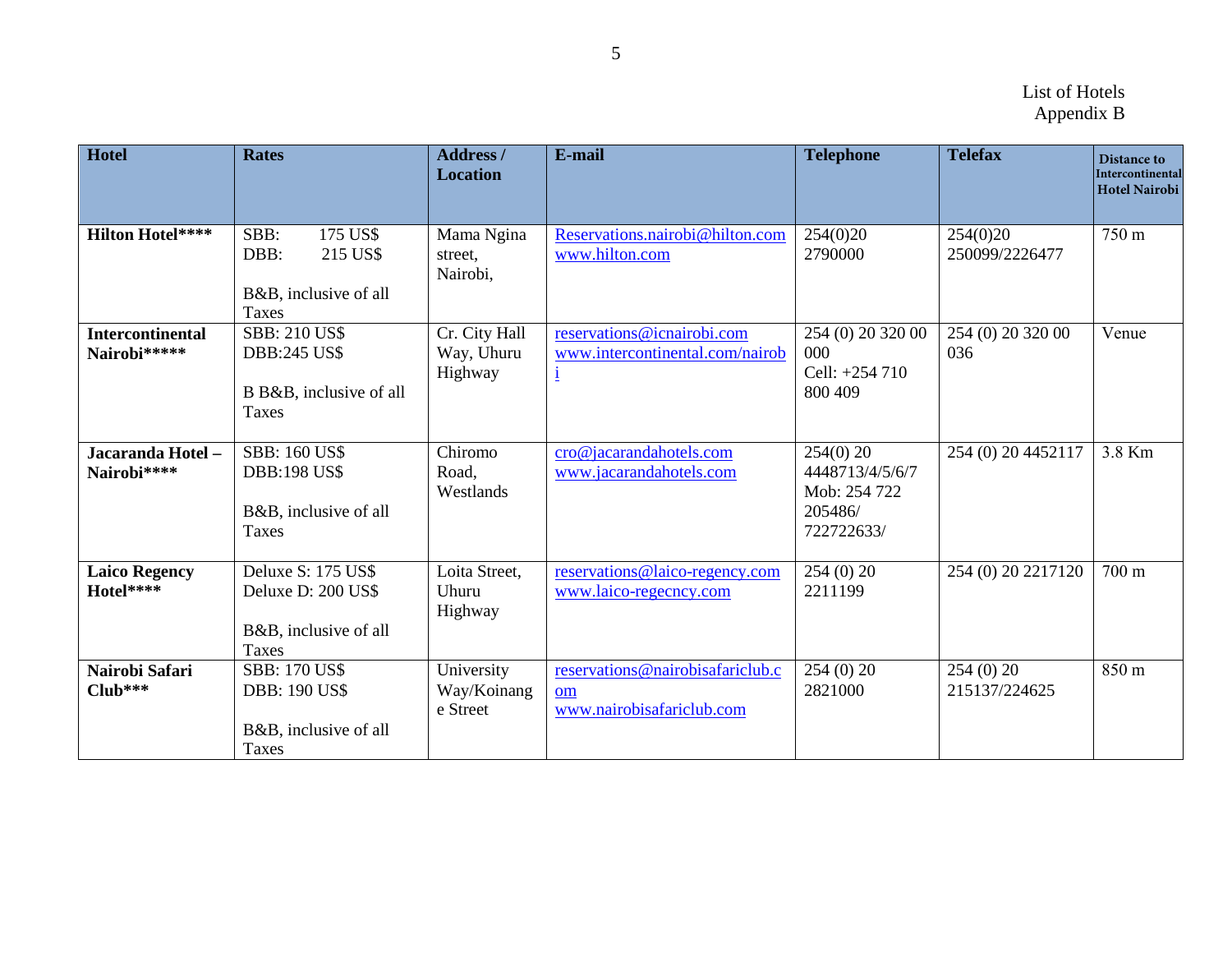| Hotel                                   | <b>Rates</b>                                                                          | <b>Address /</b><br><b>Location</b>    | E-mail                                                                        | <b>Telephone</b>                                                        | <b>Telefax</b>             | <b>Distance to</b><br>Intercontinental<br>Hotel Nairobi |
|-----------------------------------------|---------------------------------------------------------------------------------------|----------------------------------------|-------------------------------------------------------------------------------|-------------------------------------------------------------------------|----------------------------|---------------------------------------------------------|
| <b>Hilton Hotel****</b>                 | 175 US\$<br>SBB:<br>DBB:<br>215 US\$<br>B&B, inclusive of all<br><b>Taxes</b>         | Mama Ngina<br>street,<br>Nairobi,      | Reservations.nairobi@hilton.com<br>www.hilton.com                             | 254(0)20<br>2790000                                                     | 254(0)20<br>250099/2226477 | 750 m                                                   |
| <b>Intercontinental</b><br>Nairobi***** | <b>SBB: 210 US\$</b><br><b>DBB:245 US\$</b><br>B B&B, inclusive of all<br>Taxes       | Cr. City Hall<br>Way, Uhuru<br>Highway | reservations@icnairobi.com<br>www.intercontinental.com/nairob<br>$\mathbf{i}$ | 254 (0) 20 320 00<br>000<br>Cell: +254 710<br>800 409                   | 254 (0) 20 320 00<br>036   | Venue                                                   |
| Jacaranda Hotel -<br>Nairobi****        | <b>SBB: 160 US\$</b><br><b>DBB:198 US\$</b><br>B&B, inclusive of all<br>Taxes         | Chiromo<br>Road,<br>Westlands          | cro@jacarandahotels.com<br>www.jacarandahotels.com                            | $254(0)$ 20<br>4448713/4/5/6/7<br>Mob: 254 722<br>205486/<br>722722633/ | 254 (0) 20 4452117         | 3.8 Km                                                  |
| <b>Laico Regency</b><br>Hotel****       | Deluxe S: 175 US\$<br>Deluxe D: 200 US\$<br>B&B, inclusive of all<br><b>Taxes</b>     | Loita Street,<br>Uhuru<br>Highway      | reservations@laico-regency.com<br>www.laico-regecncy.com                      | 254(0)20<br>2211199                                                     | 254 (0) 20 2217120         | 700 m                                                   |
| Nairobi Safari<br>$Club***$             | <b>SBB: 170 US\$</b><br><b>DBB: 190 US\$</b><br>B&B, inclusive of all<br><b>Taxes</b> | University<br>Way/Koinang<br>e Street  | reservations@nairobisafariclub.c<br>om<br>www.nairobisafariclub.com           | 254(0)20<br>2821000                                                     | 254(0)20<br>215137/224625  | $850 \text{ m}$                                         |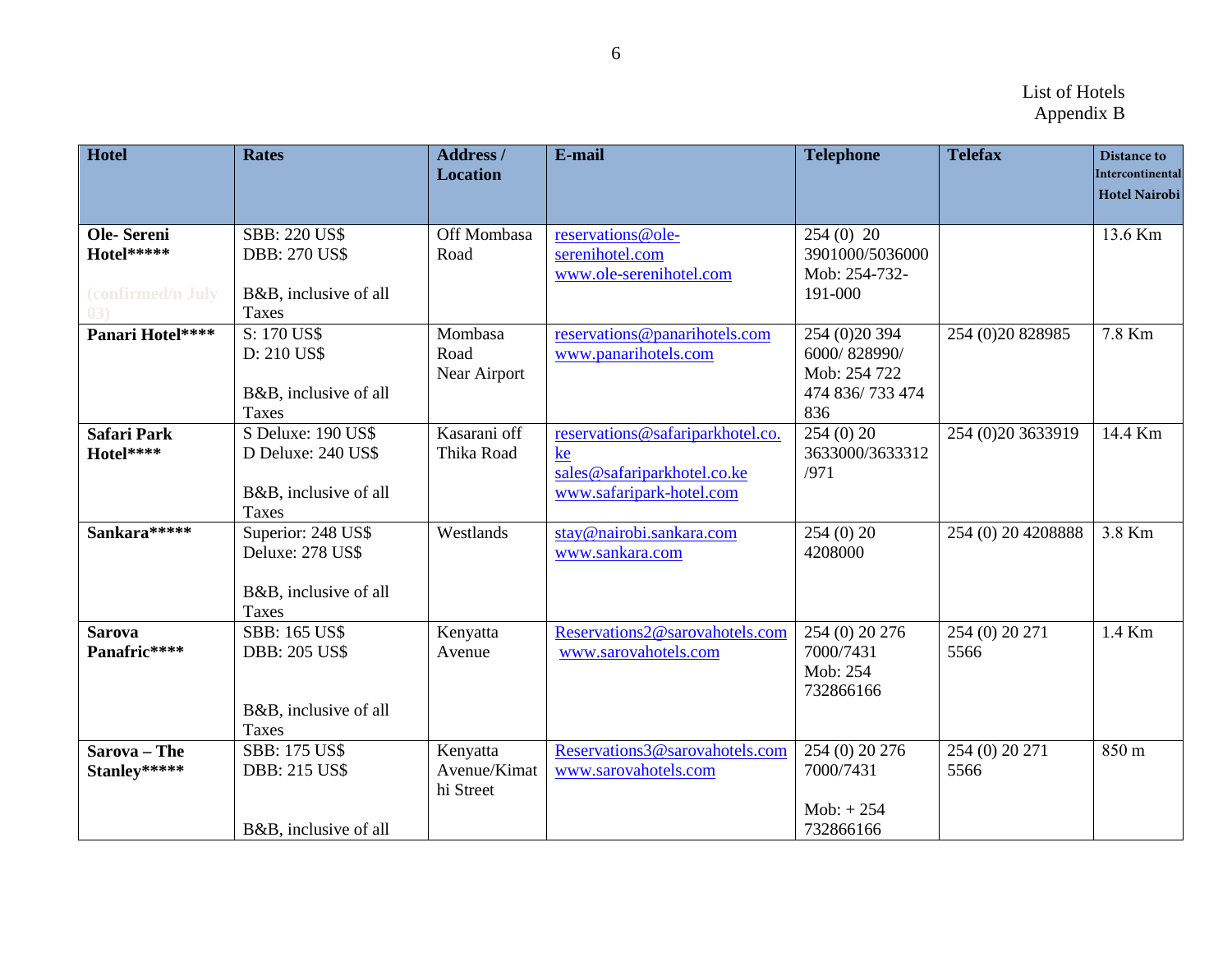| <b>Hotel</b>                                         | <b>Rates</b>                                                                      | <b>Address /</b><br><b>Location</b>   | E-mail                                                                                            | <b>Telephone</b>                                                         | <b>Telefax</b>         | <b>Distance to</b><br>Intercontinental<br><b>Hotel Nairobi</b> |
|------------------------------------------------------|-----------------------------------------------------------------------------------|---------------------------------------|---------------------------------------------------------------------------------------------------|--------------------------------------------------------------------------|------------------------|----------------------------------------------------------------|
| Ole-Sereni<br>Hotel*****<br>(confirmed/n July<br>(3) | <b>SBB: 220 US\$</b><br><b>DBB: 270 US\$</b><br>B&B, inclusive of all<br>Taxes    | Off Mombasa<br>Road                   | reservations@ole-<br>serenihotel.com<br>www.ole-serenihotel.com                                   | $254(0)$ 20<br>3901000/5036000<br>Mob: 254-732-<br>191-000               |                        | 13.6 Km                                                        |
| Panari Hotel****                                     | S: 170 US\$<br>D: 210 US\$<br>B&B, inclusive of all<br><b>Taxes</b>               | Mombasa<br>Road<br>Near Airport       | reservations@panarihotels.com<br>www.panarihotels.com                                             | 254 (0) 20 394<br>6000/828990/<br>Mob: 254 722<br>474 836/733 474<br>836 | 254 (0) 20 8 289 85    | 7.8 Km                                                         |
| <b>Safari Park</b><br>Hotel****                      | S Deluxe: 190 US\$<br>D Deluxe: 240 US\$<br>B&B, inclusive of all<br><b>Taxes</b> | Kasarani off<br>Thika Road            | reservations@safariparkhotel.co.<br>ke<br>sales@safariparkhotel.co.ke<br>www.safaripark-hotel.com | 254(0)20<br>3633000/3633312<br>/971                                      | 254 (0)20 3633919      | 14.4 Km                                                        |
| Sankara *****                                        | Superior: 248 US\$<br>Deluxe: 278 US\$<br>B&B, inclusive of all<br><b>Taxes</b>   | Westlands                             | stay@nairobi.sankara.com<br>www.sankara.com                                                       | 254(0)20<br>4208000                                                      | 254 (0) 20 4208888     | 3.8 Km                                                         |
| <b>Sarova</b><br>Panafric****                        | <b>SBB: 165 US\$</b><br><b>DBB: 205 US\$</b><br>B&B, inclusive of all<br>Taxes    | Kenyatta<br>Avenue                    | Reservations2@sarovahotels.com<br>www.sarovahotels.com                                            | 254 (0) 20 276<br>7000/7431<br>Mob: 254<br>732866166                     | 254 (0) 20 271<br>5566 | $1.4$ Km                                                       |
| Sarova - The<br>Stanley*****                         | <b>SBB: 175 US\$</b><br><b>DBB: 215 US\$</b><br>B&B, inclusive of all             | Kenyatta<br>Avenue/Kimat<br>hi Street | Reservations3@sarovahotels.com<br>www.sarovahotels.com                                            | 254 (0) 20 276<br>7000/7431<br>$Mob: + 254$<br>732866166                 | 254 (0) 20 271<br>5566 | 850 m                                                          |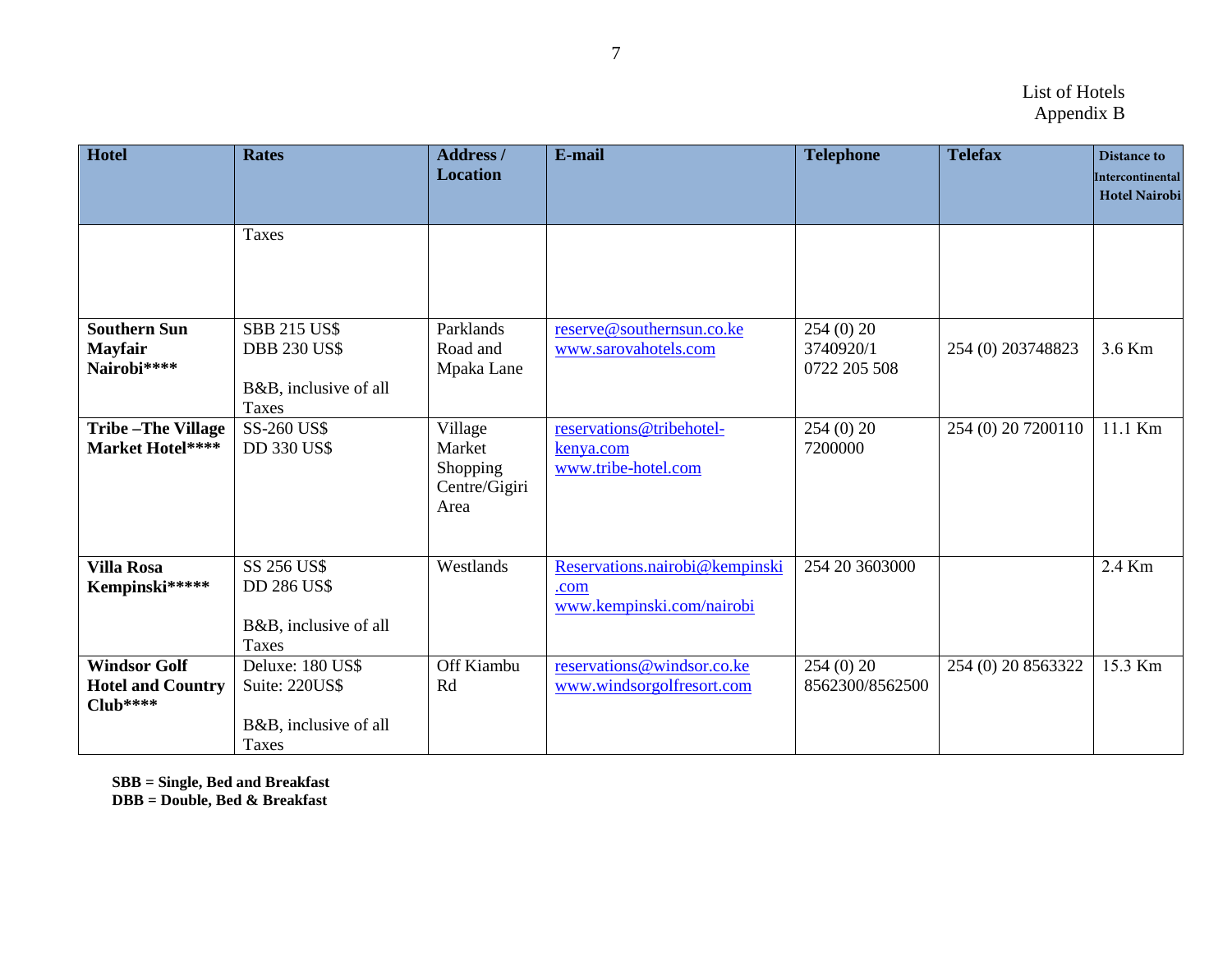| <b>Hotel</b>                                                 | <b>Rates</b>                                                                        | <b>Address</b> /<br><b>Location</b>                    | E-mail                                                              | <b>Telephone</b>                        | <b>Telefax</b>     | Distance to<br>Intercontinental<br><b>Hotel Nairobi</b> |
|--------------------------------------------------------------|-------------------------------------------------------------------------------------|--------------------------------------------------------|---------------------------------------------------------------------|-----------------------------------------|--------------------|---------------------------------------------------------|
|                                                              | <b>Taxes</b>                                                                        |                                                        |                                                                     |                                         |                    |                                                         |
| <b>Southern Sun</b><br><b>Mayfair</b><br>Nairobi****         | <b>SBB 215 US\$</b><br><b>DBB 230 US\$</b><br>B&B, inclusive of all<br><b>Taxes</b> | Parklands<br>Road and<br>Mpaka Lane                    | reserve@southernsun.co.ke<br>www.sarovahotels.com                   | 254 (0) 20<br>3740920/1<br>0722 205 508 | 254 (0) 203748823  | 3.6 Km                                                  |
| <b>Tribe-The Village</b><br>Market Hotel****                 | SS-260 US\$<br><b>DD 330 US\$</b>                                                   | Village<br>Market<br>Shopping<br>Centre/Gigiri<br>Area | reservations@tribehotel-<br>kenya.com<br>www.tribe-hotel.com        | 254(0)20<br>7200000                     | 254 (0) 20 7200110 | 11.1 Km                                                 |
| <b>Villa Rosa</b><br>Kempinski*****                          | SS 256 US\$<br><b>DD 286 US\$</b><br>B&B, inclusive of all<br><b>Taxes</b>          | Westlands                                              | Reservations.nairobi@kempinski<br>.com<br>www.kempinski.com/nairobi | 254 20 3603000                          |                    | 2.4 Km                                                  |
| <b>Windsor Golf</b><br><b>Hotel and Country</b><br>$Club***$ | Deluxe: 180 US\$<br>Suite: 220US\$<br>B&B, inclusive of all<br><b>Taxes</b>         | Off Kiambu<br>Rd                                       | reservations@windsor.co.ke<br>www.windsorgolfresort.com             | 254 (0) 20<br>8562300/8562500           | 254 (0) 20 8563322 | 15.3 Km                                                 |

**SBB = Single, Bed and Breakfast**

**DBB = Double, Bed & Breakfast**